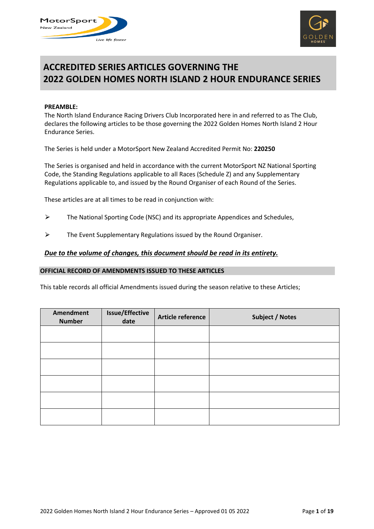



# **ACCREDITED SERIES ARTICLES GOVERNING THE 2022 GOLDEN HOMES NORTH ISLAND 2 HOUR ENDURANCE SERIES**

#### **PREAMBLE:**

The North Island Endurance Racing Drivers Club Incorporated here in and referred to as The Club, declares the following articles to be those governing the 2022 Golden Homes North Island 2 Hour Endurance Series.

The Series is held under a MotorSport New Zealand Accredited Permit No: **220250**

The Series is organised and held in accordance with the current MotorSport NZ National Sporting Code, the Standing Regulations applicable to all Races (Schedule Z) and any Supplementary Regulations applicable to, and issued by the Round Organiser of each Round of the Series.

These articles are at all times to be read in conjunction with:

- $\triangleright$  The National Sporting Code (NSC) and its appropriate Appendices and Schedules,
- $\triangleright$  The Event Supplementary Regulations issued by the Round Organiser.

#### *Due to the volume of changes, this document should be read in its entirety.*

#### **OFFICIAL RECORD OF AMENDMENTS ISSUED TO THESE ARTICLES**

This table records all official Amendments issued during the season relative to these Articles;

| Amendment<br><b>Number</b> | <b>Issue/Effective</b><br>date | Article reference | <b>Subject / Notes</b> |
|----------------------------|--------------------------------|-------------------|------------------------|
|                            |                                |                   |                        |
|                            |                                |                   |                        |
|                            |                                |                   |                        |
|                            |                                |                   |                        |
|                            |                                |                   |                        |
|                            |                                |                   |                        |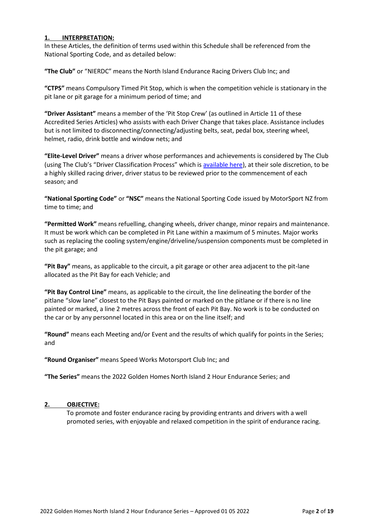# **1. INTERPRETATION:**

In these Articles, the definition of terms used within this Schedule shall be referenced from the National Sporting Code, and as detailed below:

**"The Club"** or "NIERDC" means the North Island Endurance Racing Drivers Club Inc; and

**"CTPS"** means Compulsory Timed Pit Stop, which is when the competition vehicle is stationary in the pit lane or pit garage for a minimum period of time; and

**"Driver Assistant"** means a member of the 'Pit Stop Crew' (as outlined in Article 11 of these Accredited Series Articles) who assists with each Driver Change that takes place. Assistance includes but is not limited to disconnecting/connecting/adjusting belts, seat, pedal box, steering wheel, helmet, radio, drink bottle and window nets; and

**"Elite-Level Driver"** means a driver whose performances and achievements is considered by The Club (using The Club's "Driver Classification Process" which is [available here\)](https://nierdc.files.wordpress.com/2022/03/nierdc-elite-drivers-list-2022-1.pdf), at their sole discretion, to be a highly skilled racing driver, driver status to be reviewed prior to the commencement of each season; and

**"National Sporting Code"** or **"NSC"** means the National Sporting Code issued by MotorSport NZ from time to time; and

**"Permitted Work"** means refuelling, changing wheels, driver change, minor repairs and maintenance. It must be work which can be completed in Pit Lane within a maximum of 5 minutes. Major works such as replacing the cooling system/engine/driveline/suspension components must be completed in the pit garage; and

**"Pit Bay"** means, as applicable to the circuit, a pit garage or other area adjacent to the pit-lane allocated as the Pit Bay for each Vehicle; and

**"Pit Bay Control Line"** means, as applicable to the circuit, the line delineating the border of the pitlane "slow lane" closest to the Pit Bays painted or marked on the pitlane or if there is no line painted or marked, a line 2 metres across the front of each Pit Bay. No work is to be conducted on the car or by any personnel located in this area or on the line itself; and

**"Round"** means each Meeting and/or Event and the results of which qualify for points in the Series; and

**"Round Organiser"** means Speed Works Motorsport Club Inc; and

**"The Series"** means the 2022 Golden Homes North Island 2 Hour Endurance Series; and

#### **2. OBJECTIVE:**

To promote and foster endurance racing by providing entrants and drivers with a well promoted series, with enjoyable and relaxed competition in the spirit of endurance racing.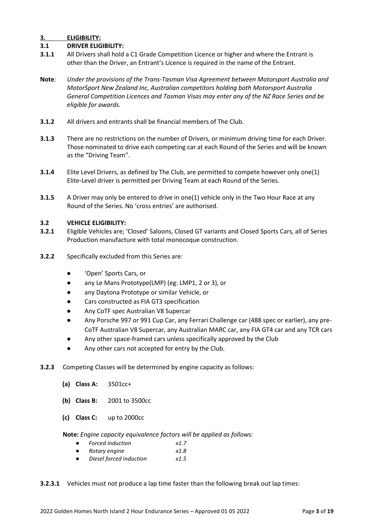# **3. ELIGIBILITY:**

#### **3.1 DRIVER ELIGIBILITY:**

- **3.1.1** All Drivers shall hold a C1 Grade Competition Licence or higher and where the Entrant is other than the Driver, an Entrant's Licence is required in the name of the Entrant.
- **Note***: Under the provisions of the Trans-Tasman Visa Agreement between Motorsport Australia and MotorSport New Zealand Inc, Australian competitors holding both Motorsport Australia General Competition Licences and Tasman Visas may enter any of the NZ Race Series and be eligible for awards.*
- **3.1.2** All drivers and entrants shall be financial members of The Club.
- **3.1.3** There are no restrictions on the number of Drivers, or minimum driving time for each Driver. Those nominated to drive each competing car at each Round of the Series and will be known as the "Driving Team".
- **3.1.4** Elite Level Drivers, as defined by The Club, are permitted to compete however only one(1) Elite-Level driver is permitted per Driving Team at each Round of the Series.
- **3.1.5** A Driver may only be entered to drive in one(1) vehicle only in the Two Hour Race at any Round of the Series. No 'cross entries' are authorised.

#### **3.2 VEHICLE ELIGIBILITY:**

- **3.2.1** Eligible Vehicles are; 'Closed' Saloons, Closed GT variants and Closed Sports Cars, all of Series Production manufacture with total monocoque construction.
- **3.2.2** Specifically excluded from this Series are:
	- 'Open' Sports Cars, or
	- any Le Mans Prototype(LMP) (eg: LMP1, 2 or 3), or
	- any Daytona Prototype or similar Vehicle, or
	- Cars constructed as FIA GT3 specification
	- Any CoTF spec Australian V8 Supercar
	- Any Porsche 997 or 991 Cup Car, any Ferrari Challenge car (488 spec or earlier), any pre-CoTF Australian V8 Supercar, any Australian MARC car, any FIA GT4 car and any TCR cars
	- Any other space-framed cars unless specifically approved by the Club
	- Any other cars not accepted for entry by the Club.
- **3.2.3** Competing Classes will be determined by engine capacity as follows:
	- **(a) Class A:** 3501cc+
	- **(b) Class B:** 2001 to 3500cc
	- **(c) Class C:** up to 2000cc

**Note:** *Engine capacity equivalence factors will be applied as follows:*

- *Forced induction x1.7*
- *Rotary engine x1.8*
- *Diesel forced induction x1.5*
- **3.2.3.1** Vehicles must not produce a lap time faster than the following break out lap times: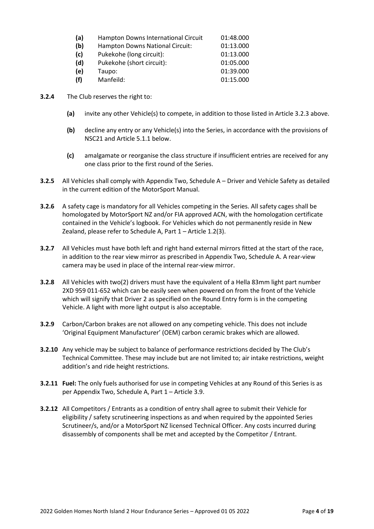| (a) | Hampton Downs International Circuit | 01:48.000 |
|-----|-------------------------------------|-----------|
| (b) | Hampton Downs National Circuit:     | 01:13.000 |
| (c) | Pukekohe (long circuit):            | 01:13.000 |
| (d) | Pukekohe (short circuit):           | 01:05.000 |
| (e) | Taupo:                              | 01:39.000 |
| (f) | Manfeild:                           | 01:15.000 |

- **3.2.4** The Club reserves the right to:
	- **(a)** invite any other Vehicle(s) to compete, in addition to those listed in Article 3.2.3 above.
	- **(b)** decline any entry or any Vehicle(s) into the Series, in accordance with the provisions of NSC21 and Article 5.1.1 below.
	- **(c)** amalgamate or reorganise the class structure if insufficient entries are received for any one class prior to the first round of the Series.
- **3.2.5** All Vehicles shall comply with Appendix Two, Schedule A Driver and Vehicle Safety as detailed in the current edition of the MotorSport Manual.
- **3.2.6** A safety cage is mandatory for all Vehicles competing in the Series. All safety cages shall be homologated by MotorSport NZ and/or FIA approved ACN, with the homologation certificate contained in the Vehicle's logbook. For Vehicles which do not permanently reside in New Zealand, please refer to Schedule A, Part 1 – Article 1.2(3).
- **3.2.7** All Vehicles must have both left and right hand external mirrors fitted at the start of the race, in addition to the rear view mirror as prescribed in Appendix Two, Schedule A. A rear-view camera may be used in place of the internal rear-view mirror.
- **3.2.8** All Vehicles with two(2) drivers must have the equivalent of a Hella 83mm light part number 2XD 959 011-652 which can be easily seen when powered on from the front of the Vehicle which will signify that Driver 2 as specified on the Round Entry form is in the competing Vehicle. A light with more light output is also acceptable.
- **3.2.9** Carbon/Carbon brakes are not allowed on any competing vehicle. This does not include 'Original Equipment Manufacturer' (OEM) carbon ceramic brakes which are allowed.
- **3.2.10** Any vehicle may be subject to balance of performance restrictions decided by The Club's Technical Committee. These may include but are not limited to; air intake restrictions, weight addition's and ride height restrictions.
- **3.2.11 Fuel:** The only fuels authorised for use in competing Vehicles at any Round of this Series is as per Appendix Two, Schedule A, Part 1 – Article 3.9.
- **3.2.12** All Competitors / Entrants as a condition of entry shall agree to submit their Vehicle for eligibility / safety scrutineering inspections as and when required by the appointed Series Scrutineer/s, and/or a MotorSport NZ licensed Technical Officer. Any costs incurred during disassembly of components shall be met and accepted by the Competitor / Entrant.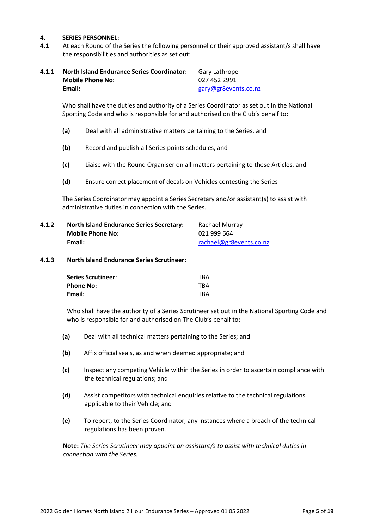#### **4. SERIES PERSONNEL:**

**4.1** At each Round of the Series the following personnel or their approved assistant/s shall have the responsibilities and authorities as set out:

| 4.1.1 | <b>North Island Endurance Series Coordinator:</b> | Gary Lathrope        |
|-------|---------------------------------------------------|----------------------|
|       | <b>Mobile Phone No:</b>                           | 027 452 2991         |
|       | Email:                                            | gary@gr8events.co.nz |

Who shall have the duties and authority of a Series Coordinator as set out in the National Sporting Code and who is responsible for and authorised on the Club's behalf to:

- **(a)** Deal with all administrative matters pertaining to the Series, and
- **(b)** Record and publish all Series points schedules, and
- **(c)** Liaise with the Round Organiser on all matters pertaining to these Articles, and
- **(d)** Ensure correct placement of decals on Vehicles contesting the Series

The Series Coordinator may appoint a Series Secretary and/or assistant(s) to assist with administrative duties in connection with the Series.

| 4.1.2 | <b>North Island Endurance Series Secretary:</b> | Rachael Murray          |
|-------|-------------------------------------------------|-------------------------|
|       | <b>Mobile Phone No:</b>                         | 021 999 664             |
|       | Email:                                          | rachael@gr8events.co.nz |

#### **4.1.3 North Island Endurance Series Scrutineer:**

| <b>Series Scrutineer:</b> | <b>TBA</b> |
|---------------------------|------------|
| <b>Phone No:</b>          | <b>TBA</b> |
| Email:                    | <b>TBA</b> |

Who shall have the authority of a Series Scrutineer set out in the National Sporting Code and who is responsible for and authorised on The Club's behalf to:

- **(a)** Deal with all technical matters pertaining to the Series; and
- **(b)** Affix official seals, as and when deemed appropriate; and
- **(c)** Inspect any competing Vehicle within the Series in order to ascertain compliance with the technical regulations; and
- **(d)** Assist competitors with technical enquiries relative to the technical regulations applicable to their Vehicle; and
- **(e)** To report, to the Series Coordinator, any instances where a breach of the technical regulations has been proven.

**Note:** *The Series Scrutineer may appoint an assistant/s to assist with technical duties in connection with the Series.*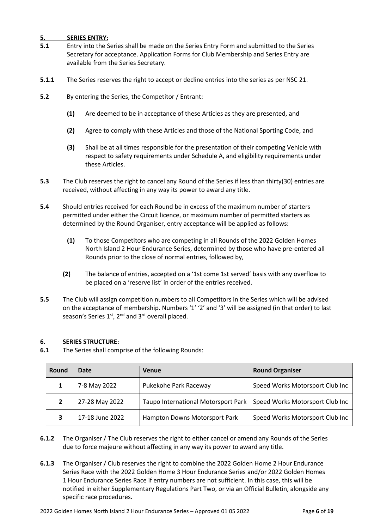# **5. SERIES ENTRY:**

- **5.1** Entry into the Series shall be made on the Series Entry Form and submitted to the Series Secretary for acceptance. Application Forms for Club Membership and Series Entry are available from the Series Secretary.
- **5.1.1** The Series reserves the right to accept or decline entries into the series as per NSC 21.
- **5.2** By entering the Series, the Competitor / Entrant:
	- **(1)** Are deemed to be in acceptance of these Articles as they are presented, and
	- **(2)** Agree to comply with these Articles and those of the National Sporting Code, and
	- **(3)** Shall be at all times responsible for the presentation of their competing Vehicle with respect to safety requirements under Schedule A, and eligibility requirements under these Articles.
- **5.3** The Club reserves the right to cancel any Round of the Series if less than thirty(30) entries are received, without affecting in any way its power to award any title.
- **5.4** Should entries received for each Round be in excess of the maximum number of starters permitted under either the Circuit licence, or maximum number of permitted starters as determined by the Round Organiser, entry acceptance will be applied as follows:
	- **(1)** To those Competitors who are competing in all Rounds of the 2022 Golden Homes North Island 2 Hour Endurance Series, determined by those who have pre-entered all Rounds prior to the close of normal entries, followed by,
	- **(2)** The balance of entries, accepted on a '1st come 1st served' basis with any overflow to be placed on a 'reserve list' in order of the entries received.
- **5.5** The Club will assign competition numbers to all Competitors in the Series which will be advised on the acceptance of membership. Numbers '1' '2' and '3' will be assigned (in that order) to last season's Series  $1<sup>st</sup>$ ,  $2<sup>nd</sup>$  and  $3<sup>rd</sup>$  overall placed.

#### **6. SERIES STRUCTURE:**

**6.1** The Series shall comprise of the following Rounds:

| Round | Date            | <b>Venue</b>                        | <b>Round Organiser</b>          |
|-------|-----------------|-------------------------------------|---------------------------------|
|       | 7-8 May 2022    | Pukekohe Park Raceway               | Speed Works Motorsport Club Inc |
|       | 27-28 May 2022  | Taupo International Motorsport Park | Speed Works Motorsport Club Inc |
|       | 17-18 June 2022 | Hampton Downs Motorsport Park       | Speed Works Motorsport Club Inc |

- **6.1.2** The Organiser / The Club reserves the right to either cancel or amend any Rounds of the Series due to force majeure without affecting in any way its power to award any title.
- **6.1.3** The Organiser / Club reserves the right to combine the 2022 Golden Home 2 Hour Endurance Series Race with the 2022 Golden Home 3 Hour Endurance Series and/or 2022 Golden Homes 1 Hour Endurance Series Race if entry numbers are not sufficient. In this case, this will be notified in either Supplementary Regulations Part Two, or via an Official Bulletin, alongside any specific race procedures.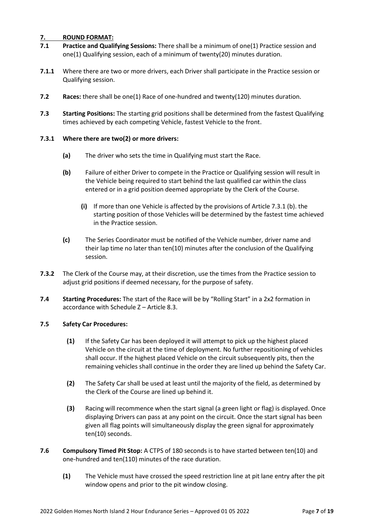# **7. ROUND FORMAT:**

- **7.1 Practice and Qualifying Sessions:** There shall be a minimum of one(1) Practice session and one(1) Qualifying session, each of a minimum of twenty(20) minutes duration.
- **7.1.1** Where there are two or more drivers, each Driver shall participate in the Practice session or Qualifying session.
- **7.2 Races:** there shall be one(1) Race of one-hundred and twenty(120) minutes duration.
- **7.3 Starting Positions:** The starting grid positions shall be determined from the fastest Qualifying times achieved by each competing Vehicle, fastest Vehicle to the front.

#### **7.3.1 Where there are two(2) or more drivers:**

- **(a)** The driver who sets the time in Qualifying must start the Race.
- **(b)** Failure of either Driver to compete in the Practice or Qualifying session will result in the Vehicle being required to start behind the last qualified car within the class entered or in a grid position deemed appropriate by the Clerk of the Course.
	- **(i)** If more than one Vehicle is affected by the provisions of Article 7.3.1 (b). the starting position of those Vehicles will be determined by the fastest time achieved in the Practice session.
- **(c)** The Series Coordinator must be notified of the Vehicle number, driver name and their lap time no later than ten(10) minutes after the conclusion of the Qualifying session.
- **7.3.2** The Clerk of the Course may, at their discretion, use the times from the Practice session to adjust grid positions if deemed necessary, for the purpose of safety.
- **7.4 Starting Procedures:** The start of the Race will be by "Rolling Start" in a 2x2 formation in accordance with Schedule Z – Article 8.3.

#### **7.5 Safety Car Procedures:**

- **(1)** If the Safety Car has been deployed it will attempt to pick up the highest placed Vehicle on the circuit at the time of deployment. No further repositioning of vehicles shall occur. If the highest placed Vehicle on the circuit subsequently pits, then the remaining vehicles shall continue in the order they are lined up behind the Safety Car.
- **(2)** The Safety Car shall be used at least until the majority of the field, as determined by the Clerk of the Course are lined up behind it.
- **(3)** Racing will recommence when the start signal (a green light or flag) is displayed. Once displaying Drivers can pass at any point on the circuit. Once the start signal has been given all flag points will simultaneously display the green signal for approximately ten(10) seconds.
- **7.6 Compulsory Timed Pit Stop:** A CTPS of 180 seconds is to have started between ten(10) and one-hundred and ten(110) minutes of the race duration.
	- **(1)** The Vehicle must have crossed the speed restriction line at pit lane entry after the pit window opens and prior to the pit window closing.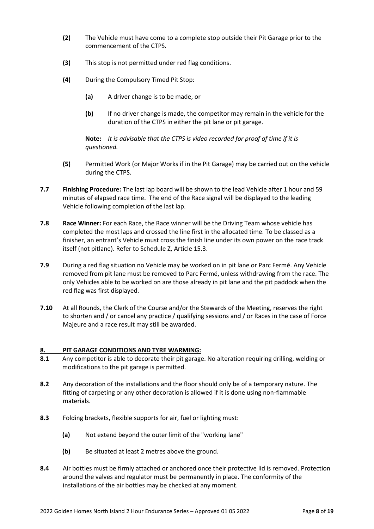- **(2)** The Vehicle must have come to a complete stop outside their Pit Garage prior to the commencement of the CTPS.
- **(3)** This stop is not permitted under red flag conditions.
- **(4)** During the Compulsory Timed Pit Stop:
	- **(a)** A driver change is to be made, or
	- **(b)** If no driver change is made, the competitor may remain in the vehicle for the duration of the CTPS in either the pit lane or pit garage.

**Note:** *It is advisable that the CTPS is video recorded for proof of time if it is questioned.*

- **(5)** Permitted Work (or Major Works if in the Pit Garage) may be carried out on the vehicle during the CTPS.
- **7.7 Finishing Procedure:** The last lap board will be shown to the lead Vehicle after 1 hour and 59 minutes of elapsed race time. The end of the Race signal will be displayed to the leading Vehicle following completion of the last lap.
- **7.8 Race Winner:** For each Race, the Race winner will be the Driving Team whose vehicle has completed the most laps and crossed the line first in the allocated time. To be classed as a finisher, an entrant's Vehicle must cross the finish line under its own power on the race track itself (not pitlane). Refer to Schedule Z, Article 15.3.
- **7.9** During a red flag situation no Vehicle may be worked on in pit lane or Parc Fermé. Any Vehicle removed from pit lane must be removed to Parc Fermé, unless withdrawing from the race. The only Vehicles able to be worked on are those already in pit lane and the pit paddock when the red flag was first displayed.
- **7.10** At all Rounds, the Clerk of the Course and/or the Stewards of the Meeting, reserves the right to shorten and / or cancel any practice / qualifying sessions and / or Races in the case of Force Majeure and a race result may still be awarded.

#### **8. PIT GARAGE CONDITIONS AND TYRE WARMING:**

- **8.1** Any competitor is able to decorate their pit garage. No alteration requiring drilling, welding or modifications to the pit garage is permitted.
- **8.2** Any decoration of the installations and the floor should only be of a temporary nature. The fitting of carpeting or any other decoration is allowed if it is done using non-flammable materials.
- **8.3** Folding brackets, flexible supports for air, fuel or lighting must:
	- **(a)** Not extend beyond the outer limit of the "working lane"
	- **(b)** Be situated at least 2 metres above the ground.
- **8.4** Air bottles must be firmly attached or anchored once their protective lid is removed. Protection around the valves and regulator must be permanently in place. The conformity of the installations of the air bottles may be checked at any moment.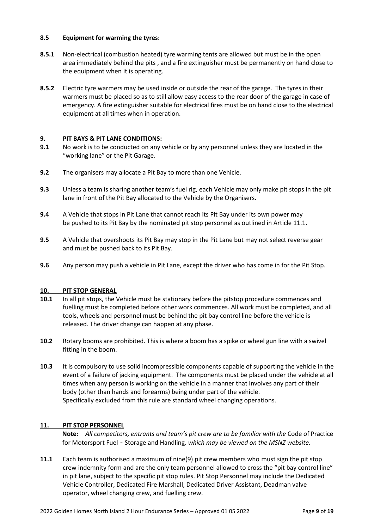#### **8.5 Equipment for warming the tyres:**

- **8.5.1** Non-electrical (combustion heated) tyre warming tents are allowed but must be in the open area immediately behind the pits , and a fire extinguisher must be permanently on hand close to the equipment when it is operating.
- **8.5.2** Electric tyre warmers may be used inside or outside the rear of the garage. The tyres in their warmers must be placed so as to still allow easy access to the rear door of the garage in case of emergency. A fire extinguisher suitable for electrical fires must be on hand close to the electrical equipment at all times when in operation.

# **9. PIT BAYS & PIT LANE CONDITIONS:**

- **9.1** No work is to be conducted on any vehicle or by any personnel unless they are located in the "working lane" or the Pit Garage.
- **9.2** The organisers may allocate a Pit Bay to more than one Vehicle.
- **9.3** Unless a team is sharing another team's fuel rig, each Vehicle may only make pit stops in the pit lane in front of the Pit Bay allocated to the Vehicle by the Organisers.
- **9.4** A Vehicle that stops in Pit Lane that cannot reach its Pit Bay under its own power may be pushed to its Pit Bay by the nominated pit stop personnel as outlined in Article 11.1.
- **9.5** A Vehicle that overshoots its Pit Bay may stop in the Pit Lane but may not select reverse gear and must be pushed back to its Pit Bay.
- **9.6** Any person may push a vehicle in Pit Lane, except the driver who has come in for the Pit Stop.

#### **10. PIT STOP GENERAL**

- **10.1** In all pit stops, the Vehicle must be stationary before the pitstop procedure commences and fuelling must be completed before other work commences. All work must be completed, and all tools, wheels and personnel must be behind the pit bay control line before the vehicle is released. The driver change can happen at any phase.
- **10.2** Rotary booms are prohibited. This is where a boom has a spike or wheel gun line with a swivel fitting in the boom.
- **10.3** It is compulsory to use solid incompressible components capable of supporting the vehicle in the event of a failure of jacking equipment. The components must be placed under the vehicle at all times when any person is working on the vehicle in a manner that involves any part of their body (other than hands and forearms) being under part of the vehicle. Specifically excluded from this rule are standard wheel changing operations.

#### **11. PIT STOP PERSONNEL**

**Note:** *All competitors, entrants and team's pit crew are to be familiar with the* Code of Practice for Motorsport Fuel – Storage and Handling*, which may be viewed on the MSNZ website.*

**11.1** Each team is authorised a maximum of nine(9) pit crew members who must sign the pit stop crew indemnity form and are the only team personnel allowed to cross the "pit bay control line" in pit lane, subject to the specific pit stop rules. Pit Stop Personnel may include the Dedicated Vehicle Controller, Dedicated Fire Marshall, Dedicated Driver Assistant, Deadman valve operator, wheel changing crew, and fuelling crew.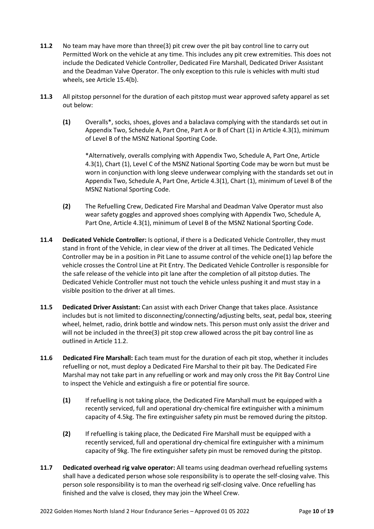- **11.2** No team may have more than three(3) pit crew over the pit bay control line to carry out Permitted Work on the vehicle at any time. This includes any pit crew extremities. This does not include the Dedicated Vehicle Controller, Dedicated Fire Marshall, Dedicated Driver Assistant and the Deadman Valve Operator. The only exception to this rule is vehicles with multi stud wheels, see Article 15.4(b).
- **11.3** All pitstop personnel for the duration of each pitstop must wear approved safety apparel as set out below:
	- **(1)** Overalls\*, socks, shoes, gloves and a balaclava complying with the standards set out in Appendix Two, Schedule A, Part One, Part A or B of Chart (1) in Article 4.3(1), minimum of Level B of the MSNZ National Sporting Code.

\*Alternatively, overalls complying with Appendix Two, Schedule A, Part One, Article 4.3(1), Chart (1), Level C of the MSNZ National Sporting Code may be worn but must be worn in conjunction with long sleeve underwear complying with the standards set out in Appendix Two, Schedule A, Part One, Article 4.3(1), Chart (1), minimum of Level B of the MSNZ National Sporting Code.

- **(2)** The Refuelling Crew, Dedicated Fire Marshal and Deadman Valve Operator must also wear safety goggles and approved shoes complying with Appendix Two, Schedule A, Part One, Article 4.3(1), minimum of Level B of the MSNZ National Sporting Code.
- **11.4 Dedicated Vehicle Controller:** Is optional, if there is a Dedicated Vehicle Controller, they must stand in front of the Vehicle, in clear view of the driver at all times. The Dedicated Vehicle Controller may be in a position in Pit Lane to assume control of the vehicle one(1) lap before the vehicle crosses the Control Line at Pit Entry. The Dedicated Vehicle Controller is responsible for the safe release of the vehicle into pit lane after the completion of all pitstop duties. The Dedicated Vehicle Controller must not touch the vehicle unless pushing it and must stay in a visible position to the driver at all times.
- **11.5 Dedicated Driver Assistant:** Can assist with each Driver Change that takes place. Assistance includes but is not limited to disconnecting/connecting/adjusting belts, seat, pedal box, steering wheel, helmet, radio, drink bottle and window nets. This person must only assist the driver and will not be included in the three(3) pit stop crew allowed across the pit bay control line as outlined in Article 11.2.
- **11.6 Dedicated Fire Marshall:** Each team must for the duration of each pit stop, whether it includes refuelling or not, must deploy a Dedicated Fire Marshal to their pit bay. The Dedicated Fire Marshal may not take part in any refuelling or work and may only cross the Pit Bay Control Line to inspect the Vehicle and extinguish a fire or potential fire source.
	- **(1)** If refuelling is not taking place, the Dedicated Fire Marshall must be equipped with a recently serviced, full and operational dry-chemical fire extinguisher with a minimum capacity of 4.5kg. The fire extinguisher safety pin must be removed during the pitstop.
	- **(2)** If refuelling is taking place, the Dedicated Fire Marshall must be equipped with a recently serviced, full and operational dry-chemical fire extinguisher with a minimum capacity of 9kg. The fire extinguisher safety pin must be removed during the pitstop.
- **11.7 Dedicated overhead rig valve operator:** All teams using deadman overhead refuelling systems shall have a dedicated person whose sole responsibility is to operate the self-closing valve. This person sole responsibility is to man the overhead rig self-closing valve. Once refuelling has finished and the valve is closed, they may join the Wheel Crew.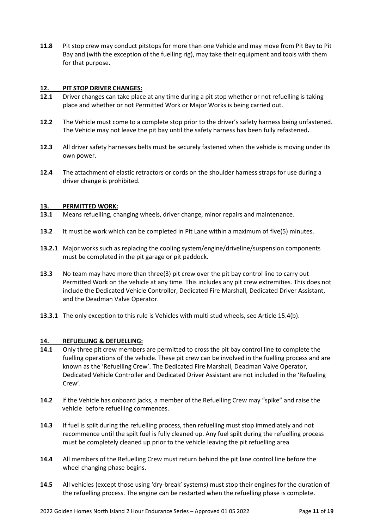**11.8** Pit stop crew may conduct pitstops for more than one Vehicle and may move from Pit Bay to Pit Bay and (with the exception of the fuelling rig), may take their equipment and tools with them for that purpose**.**

#### **12. PIT STOP DRIVER CHANGES:**

- **12.1** Driver changes can take place at any time during a pit stop whether or not refuelling is taking place and whether or not Permitted Work or Major Works is being carried out.
- **12.2** The Vehicle must come to a complete stop prior to the driver's safety harness being unfastened. The Vehicle may not leave the pit bay until the safety harness has been fully refastened**.**
- **12.3** All driver safety harnesses belts must be securely fastened when the vehicle is moving under its own power.
- **12.4** The attachment of elastic retractors or cords on the shoulder harness straps for use during a driver change is prohibited.

# **13. PERMITTED WORK:**

- **13.1** Means refuelling, changing wheels, driver change, minor repairs and maintenance.
- **13.2** It must be work which can be completed in Pit Lane within a maximum of five(5) minutes.
- **13.2.1** Major works such as replacing the cooling system/engine/driveline/suspension components must be completed in the pit garage or pit paddock.
- **13.3** No team may have more than three(3) pit crew over the pit bay control line to carry out Permitted Work on the vehicle at any time. This includes any pit crew extremities. This does not include the Dedicated Vehicle Controller, Dedicated Fire Marshall, Dedicated Driver Assistant, and the Deadman Valve Operator.
- **13.3.1** The only exception to this rule is Vehicles with multi stud wheels, see Article 15.4(b).

#### **14. REFUELLING & DEFUELLING:**

- **14.1** Only three pit crew members are permitted to cross the pit bay control line to complete the fuelling operations of the vehicle. These pit crew can be involved in the fuelling process and are known as the 'Refuelling Crew'. The Dedicated Fire Marshall, Deadman Valve Operator, Dedicated Vehicle Controller and Dedicated Driver Assistant are not included in the 'Refueling Crew'.
- **14.2** If the Vehicle has onboard jacks, a member of the Refuelling Crew may "spike" and raise the vehicle before refuelling commences.
- **14.3** If fuel is spilt during the refuelling process, then refuelling must stop immediately and not recommence until the spilt fuel is fully cleaned up. Any fuel spilt during the refuelling process must be completely cleaned up prior to the vehicle leaving the pit refuelling area
- **14.4** All members of the Refuelling Crew must return behind the pit lane control line before the wheel changing phase begins.
- **14.5** All vehicles (except those using 'dry-break' systems) must stop their engines for the duration of the refuelling process. The engine can be restarted when the refuelling phase is complete.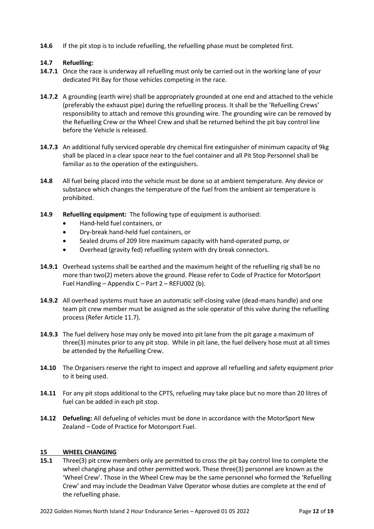**14.6** If the pit stop is to include refuelling, the refuelling phase must be completed first.

# **14.7 Refuelling:**

- **14.7.1** Once the race is underway all refuelling must only be carried out in the working lane of your dedicated Pit Bay for those vehicles competing in the race.
- **14.7.2** A grounding (earth wire) shall be appropriately grounded at one end and attached to the vehicle (preferably the exhaust pipe) during the refuelling process. It shall be the 'Refuelling Crews' responsibility to attach and remove this grounding wire. The grounding wire can be removed by the Refuelling Crew or the Wheel Crew and shall be returned behind the pit bay control line before the Vehicle is released.
- **14.7.3** An additional fully serviced operable dry chemical fire extinguisher of minimum capacity of 9kg shall be placed in a clear space near to the fuel container and all Pit Stop Personnel shall be familiar as to the operation of the extinguishers.
- **14.8** All fuel being placed into the vehicle must be done so at ambient temperature. Any device or substance which changes the temperature of the fuel from the ambient air temperature is prohibited.
- **14.9 Refuelling equipment:** The following type of equipment is authorised:
	- Hand-held fuel containers, or
	- Dry-break hand-held fuel containers, or
	- Sealed drums of 209 litre maximum capacity with hand-operated pump, or
	- Overhead (gravity fed) refuelling system with dry break connectors.
- **14.9.1** Overhead systems shall be earthed and the maximum height of the refuelling rig shall be no more than two(2) meters above the ground. Please refer to Code of Practice for MotorSport Fuel Handling – Appendix C – Part 2 – REFU002 (b).
- **14.9.2** All overhead systems must have an automatic self-closing valve (dead-mans handle) and one team pit crew member must be assigned as the sole operator of this valve during the refuelling process (Refer Article 11.7).
- **14.9.3** The fuel delivery hose may only be moved into pit lane from the pit garage a maximum of three(3) minutes prior to any pit stop. While in pit lane, the fuel delivery hose must at all times be attended by the Refuelling Crew.
- **14.10** The Organisers reserve the right to inspect and approve all refuelling and safety equipment prior to it being used.
- **14.11** For any pit stops additional to the CPTS, refueling may take place but no more than 20 litres of fuel can be added in each pit stop.
- **14.12 Defueling:** All defueling of vehicles must be done in accordance with the MotorSport New Zealand – Code of Practice for Motorsport Fuel.

#### **15 WHEEL CHANGING**

**15.1** Three(3) pit crew members only are permitted to cross the pit bay control line to complete the wheel changing phase and other permitted work. These three(3) personnel are known as the 'Wheel Crew'. Those in the Wheel Crew may be the same personnel who formed the 'Refuelling Crew' and may include the Deadman Valve Operator whose duties are complete at the end of the refuelling phase.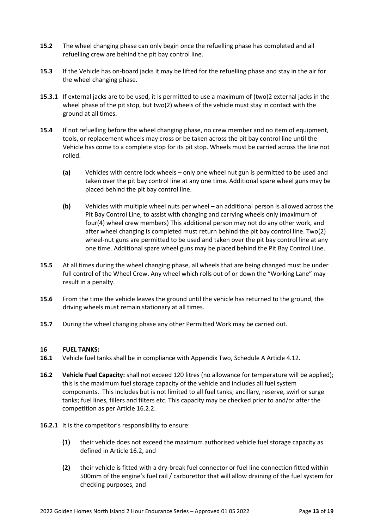- **15.2** The wheel changing phase can only begin once the refuelling phase has completed and all refuelling crew are behind the pit bay control line.
- **15.3** If the Vehicle has on-board jacks it may be lifted for the refuelling phase and stay in the air for the wheel changing phase.
- **15.3.1** If external jacks are to be used, it is permitted to use a maximum of (two)2 external jacks in the wheel phase of the pit stop, but two(2) wheels of the vehicle must stay in contact with the ground at all times.
- **15.4** If not refuelling before the wheel changing phase, no crew member and no item of equipment, tools, or replacement wheels may cross or be taken across the pit bay control line until the Vehicle has come to a complete stop for its pit stop. Wheels must be carried across the line not rolled.
	- **(a)** Vehicles with centre lock wheels only one wheel nut gun is permitted to be used and taken over the pit bay control line at any one time. Additional spare wheel guns may be placed behind the pit bay control line.
	- **(b)** Vehicles with multiple wheel nuts per wheel an additional person is allowed across the Pit Bay Control Line, to assist with changing and carrying wheels only (maximum of four(4) wheel crew members) This additional person may not do any other work, and after wheel changing is completed must return behind the pit bay control line. Two(2) wheel-nut guns are permitted to be used and taken over the pit bay control line at any one time. Additional spare wheel guns may be placed behind the Pit Bay Control Line.
- **15.5** At all times during the wheel changing phase, all wheels that are being changed must be under full control of the Wheel Crew. Any wheel which rolls out of or down the "Working Lane" may result in a penalty.
- **15.6** From the time the vehicle leaves the ground until the vehicle has returned to the ground, the driving wheels must remain stationary at all times.
- **15.7** During the wheel changing phase any other Permitted Work may be carried out.

#### **16 FUEL TANKS:**

- **16.1** Vehicle fuel tanks shall be in compliance with Appendix Two, Schedule A Article 4.12.
- **16.2 Vehicle Fuel Capacity:** shall not exceed 120 litres (no allowance for temperature will be applied); this is the maximum fuel storage capacity of the vehicle and includes all fuel system components. This includes but is not limited to all fuel tanks; ancillary, reserve, swirl or surge tanks; fuel lines, fillers and filters etc. This capacity may be checked prior to and/or after the competition as per Article 16.2.2.
- **16.2.1** It is the competitor's responsibility to ensure:
	- **(1)** their vehicle does not exceed the maximum authorised vehicle fuel storage capacity as defined in Article 16.2, and
	- **(2)** their vehicle is fitted with a dry-break fuel connector or fuel line connection fitted within 500mm of the engine's fuel rail / carburettor that will allow draining of the fuel system for checking purposes, and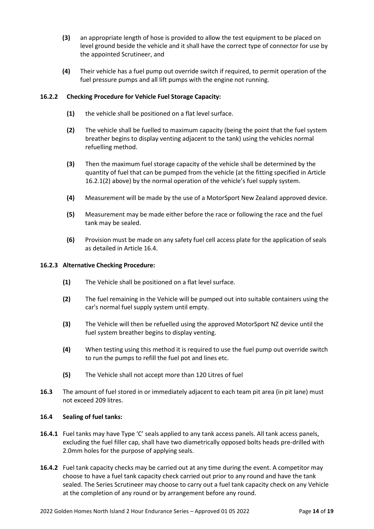- **(3)** an appropriate length of hose is provided to allow the test equipment to be placed on level ground beside the vehicle and it shall have the correct type of connector for use by the appointed Scrutineer, and
- **(4)** Their vehicle has a fuel pump out override switch if required, to permit operation of the fuel pressure pumps and all lift pumps with the engine not running.

#### **16.2.2 Checking Procedure for Vehicle Fuel Storage Capacity:**

- **(1)** the vehicle shall be positioned on a flat level surface.
- **(2)** The vehicle shall be fuelled to maximum capacity (being the point that the fuel system breather begins to display venting adjacent to the tank) using the vehicles normal refuelling method.
- **(3)** Then the maximum fuel storage capacity of the vehicle shall be determined by the quantity of fuel that can be pumped from the vehicle (at the fitting specified in Article 16.2.1(2) above) by the normal operation of the vehicle's fuel supply system.
- **(4)** Measurement will be made by the use of a MotorSport New Zealand approved device.
- **(5)** Measurement may be made either before the race or following the race and the fuel tank may be sealed.
- **(6)** Provision must be made on any safety fuel cell access plate for the application of seals as detailed in Article 16.4.

#### **16.2.3 Alternative Checking Procedure:**

- **(1)** The Vehicle shall be positioned on a flat level surface.
- **(2)** The fuel remaining in the Vehicle will be pumped out into suitable containers using the car's normal fuel supply system until empty.
- **(3)** The Vehicle will then be refuelled using the approved MotorSport NZ device until the fuel system breather begins to display venting.
- **(4)** When testing using this method it is required to use the fuel pump out override switch to run the pumps to refill the fuel pot and lines etc.
- **(5)** The Vehicle shall not accept more than 120 Litres of fuel
- **16.3** The amount of fuel stored in or immediately adjacent to each team pit area (in pit lane) must not exceed 209 litres.

#### **16.4 Sealing of fuel tanks:**

- **16.4.1** Fuel tanks may have Type 'C' seals applied to any tank access panels. All tank access panels, excluding the fuel filler cap, shall have two diametrically opposed bolts heads pre-drilled with 2.0mm holes for the purpose of applying seals.
- **16.4.2** Fuel tank capacity checks may be carried out at any time during the event. A competitor may choose to have a fuel tank capacity check carried out prior to any round and have the tank sealed. The Series Scrutineer may choose to carry out a fuel tank capacity check on any Vehicle at the completion of any round or by arrangement before any round.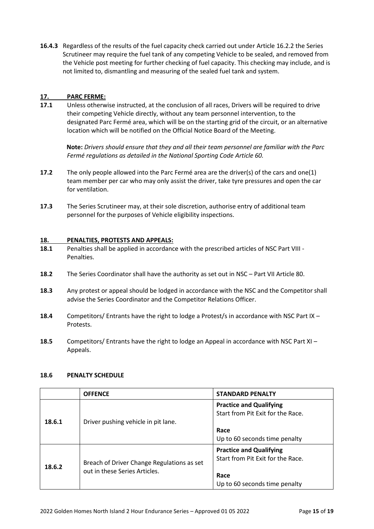**16.4.3** Regardless of the results of the fuel capacity check carried out under Article 16.2.2 the Series Scrutineer may require the fuel tank of any competing Vehicle to be sealed, and removed from the Vehicle post meeting for further checking of fuel capacity. This checking may include, and is not limited to, dismantling and measuring of the sealed fuel tank and system.

# **17. PARC FERME:**

**17.1** Unless otherwise instructed, at the conclusion of all races, Drivers will be required to drive their competing Vehicle directly, without any team personnel intervention, to the designated Parc Fermé area, which will be on the starting grid of the circuit, or an alternative location which will be notified on the Official Notice Board of the Meeting.

**Note:** *Drivers should ensure that they and all their team personnel are familiar with the Parc Fermé regulations as detailed in the National Sporting Code Article 60.*

- **17.2** The only people allowed into the Parc Fermé area are the driver(s) of the cars and one(1) team member per car who may only assist the driver, take tyre pressures and open the car for ventilation.
- **17.3** The Series Scrutineer may, at their sole discretion, authorise entry of additional team personnel for the purposes of Vehicle eligibility inspections.

#### **18. PENALTIES, PROTESTS AND APPEALS:**

- **18.1** Penalties shall be applied in accordance with the prescribed articles of NSC Part VIII Penalties.
- **18.2** The Series Coordinator shall have the authority as set out in NSC Part VII Article 80.
- **18.3** Any protest or appeal should be lodged in accordance with the NSC and the Competitor shall advise the Series Coordinator and the Competitor Relations Officer.
- **18.4** Competitors/ Entrants have the right to lodge a Protest/s in accordance with NSC Part IX Protests.
- **18.5** Competitors/ Entrants have the right to lodge an Appeal in accordance with NSC Part XI Appeals.

#### **18.6 PENALTY SCHEDULE**

|        | <b>OFFENCE</b>                                                              | <b>STANDARD PENALTY</b>                                                                                      |
|--------|-----------------------------------------------------------------------------|--------------------------------------------------------------------------------------------------------------|
| 18.6.1 | Driver pushing vehicle in pit lane.                                         | <b>Practice and Qualifying</b><br>Start from Pit Exit for the Race.                                          |
|        |                                                                             | Race<br>Up to 60 seconds time penalty                                                                        |
| 18.6.2 | Breach of Driver Change Regulations as set<br>out in these Series Articles. | <b>Practice and Qualifying</b><br>Start from Pit Exit for the Race.<br>Race<br>Up to 60 seconds time penalty |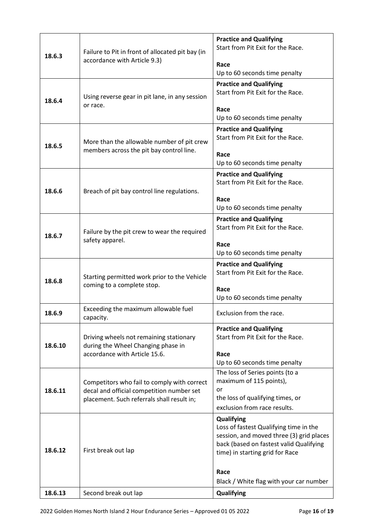| 18.6.3  | Failure to Pit in front of allocated pit bay (in<br>accordance with Article 9.3)                                                       | <b>Practice and Qualifying</b><br>Start from Pit Exit for the Race.                                                                                                                                                                      |
|---------|----------------------------------------------------------------------------------------------------------------------------------------|------------------------------------------------------------------------------------------------------------------------------------------------------------------------------------------------------------------------------------------|
|         |                                                                                                                                        | Race<br>Up to 60 seconds time penalty                                                                                                                                                                                                    |
| 18.6.4  | Using reverse gear in pit lane, in any session<br>or race.                                                                             | <b>Practice and Qualifying</b><br>Start from Pit Exit for the Race.<br>Race<br>Up to 60 seconds time penalty                                                                                                                             |
| 18.6.5  | More than the allowable number of pit crew<br>members across the pit bay control line.                                                 | <b>Practice and Qualifying</b><br>Start from Pit Exit for the Race.<br>Race<br>Up to 60 seconds time penalty                                                                                                                             |
| 18.6.6  | Breach of pit bay control line regulations.                                                                                            | <b>Practice and Qualifying</b><br>Start from Pit Exit for the Race.<br>Race<br>Up to 60 seconds time penalty                                                                                                                             |
| 18.6.7  | Failure by the pit crew to wear the required<br>safety apparel.                                                                        | <b>Practice and Qualifying</b><br>Start from Pit Exit for the Race.<br>Race<br>Up to 60 seconds time penalty                                                                                                                             |
| 18.6.8  | Starting permitted work prior to the Vehicle<br>coming to a complete stop.                                                             | <b>Practice and Qualifying</b><br>Start from Pit Exit for the Race.<br>Race<br>Up to 60 seconds time penalty                                                                                                                             |
| 18.6.9  | Exceeding the maximum allowable fuel<br>capacity.                                                                                      | Exclusion from the race                                                                                                                                                                                                                  |
| 18.6.10 | Driving wheels not remaining stationary<br>during the Wheel Changing phase in<br>accordance with Article 15.6.                         | <b>Practice and Qualifying</b><br>Start from Pit Exit for the Race.<br>Race<br>Up to 60 seconds time penalty                                                                                                                             |
| 18.6.11 | Competitors who fail to comply with correct<br>decal and official competition number set<br>placement. Such referrals shall result in; | The loss of Series points (to a<br>maximum of 115 points),<br>or<br>the loss of qualifying times, or<br>exclusion from race results.                                                                                                     |
| 18.6.12 | First break out lap                                                                                                                    | <b>Qualifying</b><br>Loss of fastest Qualifying time in the<br>session, and moved three (3) grid places<br>back (based on fastest valid Qualifying<br>time) in starting grid for Race<br>Race<br>Black / White flag with your car number |
| 18.6.13 | Second break out lap                                                                                                                   | Qualifying                                                                                                                                                                                                                               |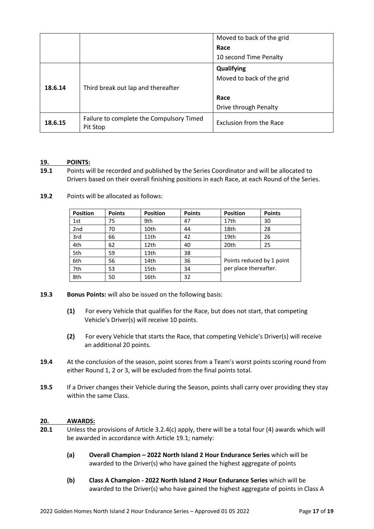|         |                                                      | Moved to back of the grid |
|---------|------------------------------------------------------|---------------------------|
|         |                                                      | Race                      |
|         |                                                      | 10 second Time Penalty    |
|         |                                                      | Qualifying                |
|         |                                                      | Moved to back of the grid |
| 18.6.14 | Third break out lap and thereafter                   |                           |
|         |                                                      | Race                      |
|         |                                                      | Drive through Penalty     |
| 18.6.15 | Failure to complete the Compulsory Timed<br>Pit Stop | Exclusion from the Race   |

#### **19. POINTS:**

- **19.1** Points will be recorded and published by the Series Coordinator and will be allocated to Drivers based on their overall finishing positions in each Race, at each Round of the Series.
- **19.2** Points will be allocated as follows:

| <b>Position</b> | <b>Points</b> | <b>Position</b> | <b>Points</b> | <b>Position</b>           | <b>Points</b> |
|-----------------|---------------|-----------------|---------------|---------------------------|---------------|
| 1st             | 75            | 9th             | 47            | 17th                      | 30            |
| 2 <sub>nd</sub> | 70            | 10th            | 44            | 18th                      | 28            |
| 3rd             | 66            | 11th            | 42            | 19th                      | 26            |
| 4th             | 62            | 12th            | 40            | 20th                      | 25            |
| 5th             | 59            | 13th            | 38            |                           |               |
| 6th             | 56            | 14th            | 36            | Points reduced by 1 point |               |
| 7th             | 53            | 15th            | 34            | per place thereafter.     |               |
| 8th             | 50            | 16th            | 32            |                           |               |

#### **19.3 Bonus Points:** will also be issued on the following basis:

- **(1)** For every Vehicle that qualifies for the Race, but does not start, that competing Vehicle's Driver(s) will receive 10 points.
- **(2)** For every Vehicle that starts the Race, that competing Vehicle's Driver(s) will receive an additional 20 points.
- **19.4** At the conclusion of the season, point scores from a Team's worst points scoring round from either Round 1, 2 or 3, will be excluded from the final points total.
- **19.5** If a Driver changes their Vehicle during the Season, points shall carry over providing they stay within the same Class.

#### **20. AWARDS:**

- **20.1** Unless the provisions of Article 3.2.4(c) apply, there will be a total four (4) awards which will be awarded in accordance with Article 19.1; namely:
	- **(a) Overall Champion – 2022 North Island 2 Hour Endurance Series** which will be awarded to the Driver(s) who have gained the highest aggregate of points
	- **(b) Class A Champion - 2022 North Island 2 Hour Endurance Series** which will be awarded to the Driver(s) who have gained the highest aggregate of points in Class A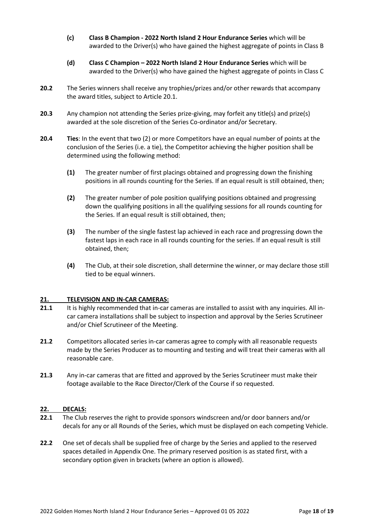- **(c) Class B Champion - 2022 North Island 2 Hour Endurance Series** which will be awarded to the Driver(s) who have gained the highest aggregate of points in Class B
- **(d) Class C Champion – 2022 North Island 2 Hour Endurance Series** which will be awarded to the Driver(s) who have gained the highest aggregate of points in Class C
- **20.2** The Series winners shall receive any trophies/prizes and/or other rewards that accompany the award titles, subject to Article 20.1.
- **20.3** Any champion not attending the Series prize-giving, may forfeit any title(s) and prize(s) awarded at the sole discretion of the Series Co-ordinator and/or Secretary.
- **20.4 Ties**: In the event that two (2) or more Competitors have an equal number of points at the conclusion of the Series (i.e. a tie), the Competitor achieving the higher position shall be determined using the following method:
	- **(1)** The greater number of first placings obtained and progressing down the finishing positions in all rounds counting for the Series. If an equal result is still obtained, then;
	- **(2)** The greater number of pole position qualifying positions obtained and progressing down the qualifying positions in all the qualifying sessions for all rounds counting for the Series. If an equal result is still obtained, then;
	- **(3)** The number of the single fastest lap achieved in each race and progressing down the fastest laps in each race in all rounds counting for the series. If an equal result is still obtained, then;
	- **(4)** The Club, at their sole discretion, shall determine the winner, or may declare those still tied to be equal winners.

#### **21. TELEVISION AND IN-CAR CAMERAS:**

- **21.1** It is highly recommended that in-car cameras are installed to assist with any inquiries. All incar camera installations shall be subject to inspection and approval by the Series Scrutineer and/or Chief Scrutineer of the Meeting.
- **21.2** Competitors allocated series in-car cameras agree to comply with all reasonable requests made by the Series Producer as to mounting and testing and will treat their cameras with all reasonable care.
- **21.3** Any in-car cameras that are fitted and approved by the Series Scrutineer must make their footage available to the Race Director/Clerk of the Course if so requested.

#### **22. DECALS:**

- **22.1** The Club reserves the right to provide sponsors windscreen and/or door banners and/or decals for any or all Rounds of the Series, which must be displayed on each competing Vehicle.
- **22.2** One set of decals shall be supplied free of charge by the Series and applied to the reserved spaces detailed in Appendix One. The primary reserved position is as stated first, with a secondary option given in brackets (where an option is allowed).